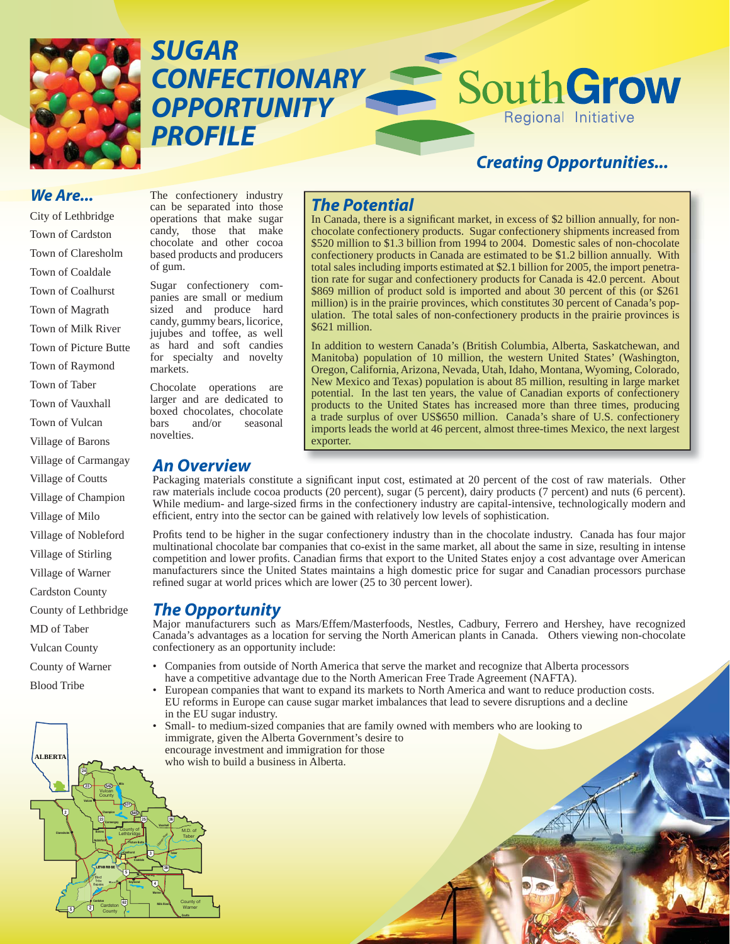

*SUGAR CONFECTIONARY OPPORTUNITY PROFILE*

# *Creating Opportunities...*

Regional Initiative

SouthGrow

#### *We Are...*

City of Lethbridge Town of Cardston Town of Claresholm Town of Coaldale Town of Coalhurst Town of Magrath Town of Milk River Town of Picture Butte Town of Raymond Town of Taber Town of Vauxhall Town of Vulcan Village of Barons Village of Carmangay Village of Coutts Village of Champion Village of Milo Village of Nobleford Village of Stirling Village of Warner Cardston County County of Lethbridge MD of Taber Vulcan County County of Warner Blood Tribe

**Claresholm**

**2**

**ALBERTA**

**Vulcan**

**24**

**5 2**

**Barons Nobleford**

**Blood Tribe Reserve** *<sup>r</sup> <sup>e</sup> iv* **<sup>2</sup>***<sup>n</sup> to <sup>r</sup> te* **<sup>A</sup>**

**23**

**Carmengay**

**Champion**

**Magrath LETHBRIDGE**

**County Cardston Cardston**

Vulcan **County** 

**23 542**

**Coalhurst** County of **Lethbridge** 

**5**

**62**

**531**

**Milo**

**845 25 36 Vauxhall**

**Picture Butte Coaldale**

**Raymond**

**Warner Milk River**

**4 36**

 *i*v R*na dm*l*O*

**Taber**

**Stirling**

**3**

**Coutts** County of Warner

M.D. of Taber

The confectionery industry can be separated into those operations that make sugar candy, those that make chocolate and other cocoa based products and producers of gum.

Sugar confectionery companies are small or medium sized and produce hard candy, gummy bears, licorice, jujubes and toffee, as well as hard and soft candies for specialty and novelty markets.

Chocolate operations are larger and are dedicated to boxed chocolates, chocolate bars and/or seasonal novelties.

## *An Overview*

## *The Potential*

In Canada, there is a significant market, in excess of \$2 billion annually, for nonchocolate confectionery products. Sugar confectionery shipments increased from \$520 million to \$1.3 billion from 1994 to 2004. Domestic sales of non-chocolate confectionery products in Canada are estimated to be \$1.2 billion annually. With total sales including imports estimated at \$2.1 billion for 2005, the import penetration rate for sugar and confectionery products for Canada is 42.0 percent. About \$869 million of product sold is imported and about 30 percent of this (or \$261 million) is in the prairie provinces, which constitutes 30 percent of Canada's population. The total sales of non-confectionery products in the prairie provinces is \$621 million.

In addition to western Canada's (British Columbia, Alberta, Saskatchewan, and Manitoba) population of 10 million, the western United States' (Washington, Oregon, California, Arizona, Nevada, Utah, Idaho, Montana, Wyoming, Colorado, New Mexico and Texas) population is about 85 million, resulting in large market potential. In the last ten years, the value of Canadian exports of confectionery products to the United States has increased more than three times, producing a trade surplus of over US\$650 million. Canada's share of U.S. confectionery imports leads the world at 46 percent, almost three-times Mexico, the next largest exporter.

Packaging materials constitute a significant input cost, estimated at 20 percent of the cost of raw materials. Other raw materials include cocoa products (20 percent), sugar (5 percent), dairy products (7 percent) and nuts (6 percent). While medium- and large-sized firms in the confectionery industry are capital-intensive, technologically modern and efficient, entry into the sector can be gained with relatively low levels of sophistication.

Profits tend to be higher in the sugar confectionery industry than in the chocolate industry. Canada has four major multinational chocolate bar companies that co-exist in the same market, all about the same in size, resulting in intense competition and lower profits. Canadian firms that export to the United States enjoy a cost advantage over American manufacturers since the United States maintains a high domestic price for sugar and Canadian processors purchase refined sugar at world prices which are lower  $(25 \text{ to } 30)$  percent lower).

### *The Opportunity*

Major manufacturers such as Mars/Effem/Masterfoods, Nestles, Cadbury, Ferrero and Hershey, have recognized Canada's advantages as a location for serving the North American plants in Canada. Others viewing non-chocolate confectionery as an opportunity include:

- Companies from outside of North America that serve the market and recognize that Alberta processors have a competitive advantage due to the North American Free Trade Agreement (NAFTA).
- European companies that want to expand its markets to North America and want to reduce production costs. EU reforms in Europe can cause sugar market imbalances that lead to severe disruptions and a decline in the EU sugar industry.
- Small- to medium-sized companies that are family owned with members who are looking to immigrate, given the Alberta Government's desire to encourage investment and immigration for those who wish to build a business in Alberta.